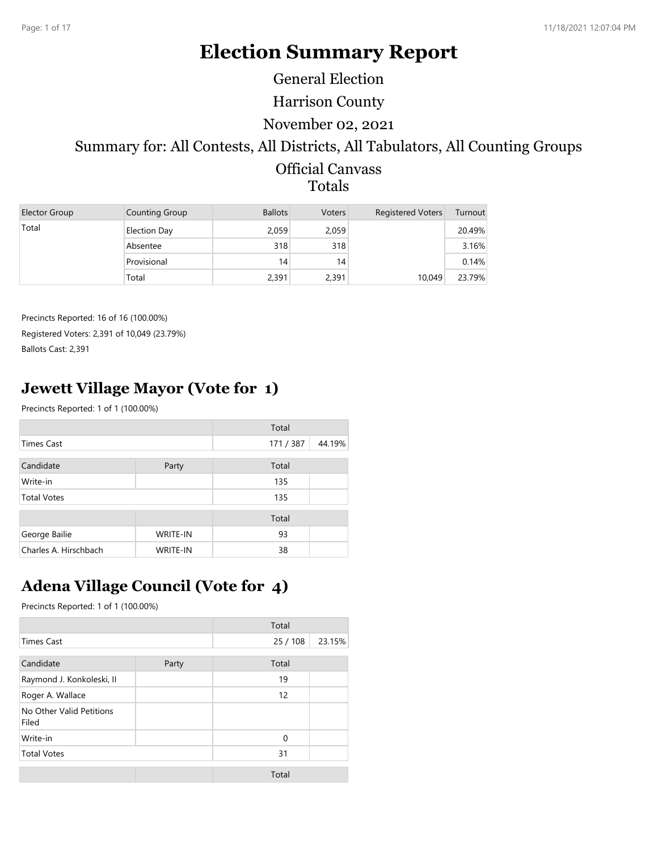# **Election Summary Report**

General Election

Harrison County

#### November 02, 2021

## Summary for: All Contests, All Districts, All Tabulators, All Counting Groups

#### Official Canvass Totals

| Elector Group | Counting Group      | <b>Ballots</b> | <b>Voters</b> | <b>Registered Voters</b> | Turnout |
|---------------|---------------------|----------------|---------------|--------------------------|---------|
| Total         | <b>Election Day</b> | 2,059          | 2,059         |                          | 20.49%  |
|               | Absentee            | 318            | 318           |                          | 3.16%   |
|               | Provisional         | 14             | 14            |                          | 0.14%   |
|               | Total               | 2,391          | 2,391         | 10,049                   | 23.79%  |

Precincts Reported: 16 of 16 (100.00%) Registered Voters: 2,391 of 10,049 (23.79%) Ballots Cast: 2,391

## **Jewett Village Mayor (Vote for 1)**

Precincts Reported: 1 of 1 (100.00%)

|                       |                 | Total   |        |
|-----------------------|-----------------|---------|--------|
| <b>Times Cast</b>     |                 | 171/387 | 44.19% |
| Candidate             | Party           | Total   |        |
| Write-in              |                 | 135     |        |
| <b>Total Votes</b>    |                 | 135     |        |
|                       |                 | Total   |        |
| George Bailie         | <b>WRITE-IN</b> | 93      |        |
| Charles A. Hirschbach | <b>WRITE-IN</b> | 38      |        |

## **Adena Village Council (Vote for 4)**

|                                   |       | Total       |        |
|-----------------------------------|-------|-------------|--------|
| <b>Times Cast</b>                 |       | 25/108      | 23.15% |
|                                   |       |             |        |
| Candidate                         | Party | Total       |        |
| Raymond J. Konkoleski, II         |       | 19          |        |
| Roger A. Wallace                  |       | 12          |        |
| No Other Valid Petitions<br>Filed |       |             |        |
| Write-in                          |       | $\mathbf 0$ |        |
| <b>Total Votes</b>                |       | 31          |        |
|                                   |       | Total       |        |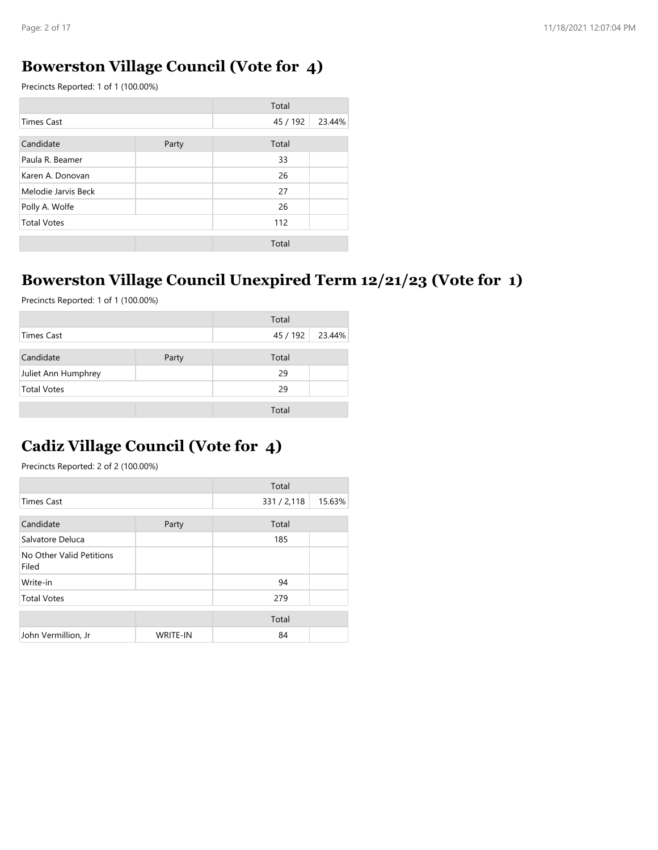#### **Bowerston Village Council (Vote for 4)**

Precincts Reported: 1 of 1 (100.00%)

|                     |       | Total    |        |
|---------------------|-------|----------|--------|
| <b>Times Cast</b>   |       | 45 / 192 | 23.44% |
| Candidate           | Party | Total    |        |
| Paula R. Beamer     |       | 33       |        |
| Karen A. Donovan    |       | 26       |        |
| Melodie Jarvis Beck |       | 27       |        |
| Polly A. Wolfe      |       | 26       |        |
| <b>Total Votes</b>  |       | 112      |        |
|                     |       | Total    |        |

## **Bowerston Village Council Unexpired Term 12/21/23 (Vote for 1)**

Precincts Reported: 1 of 1 (100.00%)

|                     |       | Total    |        |
|---------------------|-------|----------|--------|
| Times Cast          |       | 45 / 192 | 23.44% |
| Candidate           | Party | Total    |        |
| Juliet Ann Humphrey |       | 29       |        |
| <b>Total Votes</b>  |       | 29       |        |
|                     |       | Total    |        |

### **Cadiz Village Council (Vote for 4)**

|                                   |                 | Total       |        |
|-----------------------------------|-----------------|-------------|--------|
| <b>Times Cast</b>                 |                 | 331 / 2,118 | 15.63% |
|                                   |                 |             |        |
| Candidate                         | Party           | Total       |        |
| Salvatore Deluca                  |                 | 185         |        |
| No Other Valid Petitions<br>Filed |                 |             |        |
| Write-in                          |                 | 94          |        |
| <b>Total Votes</b>                |                 | 279         |        |
|                                   |                 |             |        |
|                                   |                 | Total       |        |
| John Vermillion, Jr               | <b>WRITE-IN</b> | 84          |        |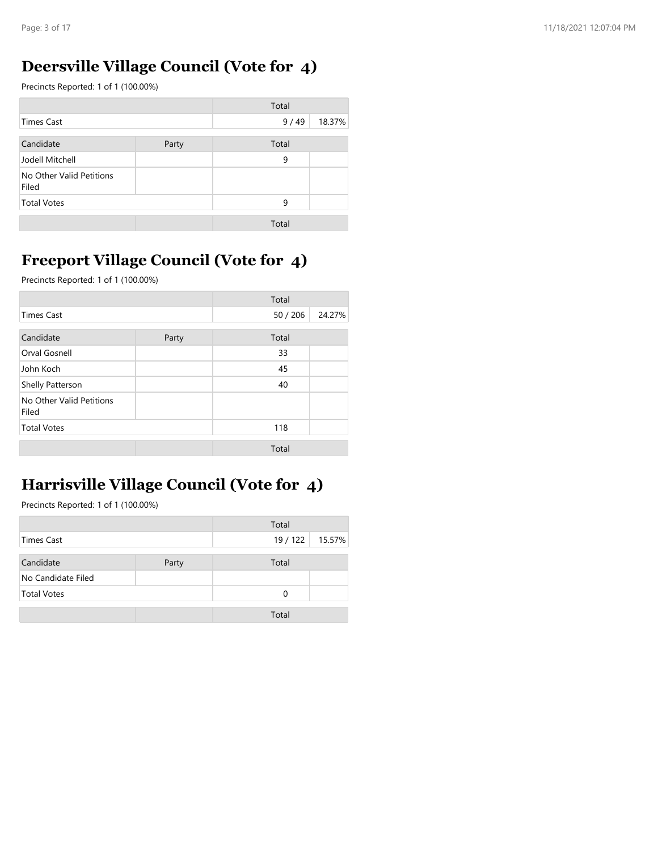### **Deersville Village Council (Vote for 4)**

Precincts Reported: 1 of 1 (100.00%)

|                                   |       | Total |        |
|-----------------------------------|-------|-------|--------|
| <b>Times Cast</b>                 |       | 9/49  | 18.37% |
| Candidate                         | Party | Total |        |
| Jodell Mitchell                   |       | 9     |        |
| No Other Valid Petitions<br>Filed |       |       |        |
| <b>Total Votes</b>                |       | 9     |        |
|                                   |       | Total |        |

### **Freeport Village Council (Vote for 4)**

Precincts Reported: 1 of 1 (100.00%)

|                                   |       | Total    |        |
|-----------------------------------|-------|----------|--------|
| <b>Times Cast</b>                 |       | 50 / 206 | 24.27% |
| Candidate                         | Party | Total    |        |
| Orval Gosnell                     |       | 33       |        |
| John Koch                         |       | 45       |        |
| Shelly Patterson                  |       | 40       |        |
| No Other Valid Petitions<br>Filed |       |          |        |
| <b>Total Votes</b>                |       | 118      |        |
|                                   |       | Total    |        |

### **Harrisville Village Council (Vote for 4)**

|                    |       | Total  |        |
|--------------------|-------|--------|--------|
| Times Cast         |       | 19/122 | 15.57% |
|                    |       |        |        |
| Candidate          | Party | Total  |        |
| No Candidate Filed |       |        |        |
| <b>Total Votes</b> |       | 0      |        |
|                    |       |        |        |
|                    |       | Total  |        |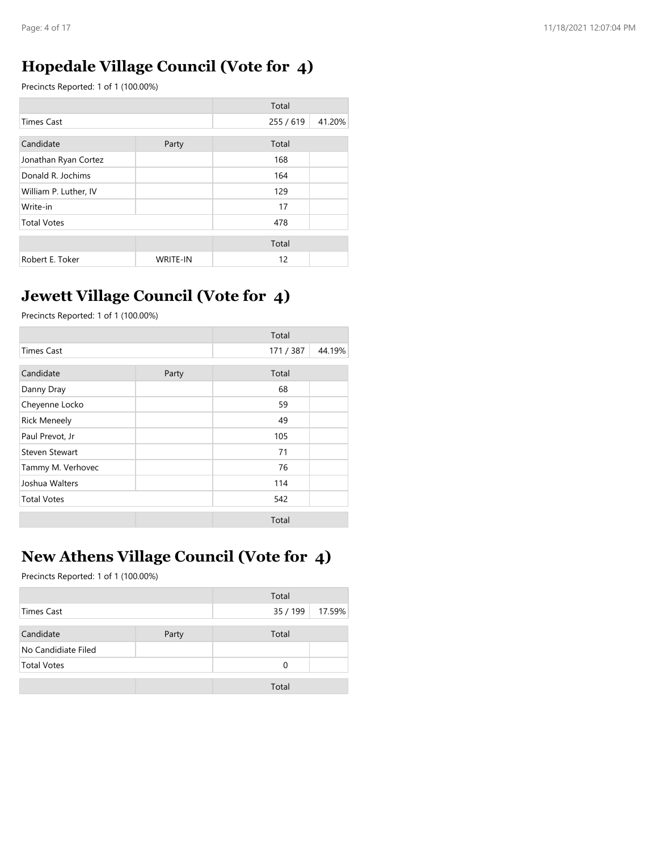### **Hopedale Village Council (Vote for 4)**

Precincts Reported: 1 of 1 (100.00%)

|                       |                 | Total     |        |
|-----------------------|-----------------|-----------|--------|
| Times Cast            |                 | 255 / 619 | 41.20% |
| Candidate             | Party           | Total     |        |
| Jonathan Ryan Cortez  |                 | 168       |        |
| Donald R. Jochims     |                 | 164       |        |
| William P. Luther, IV |                 | 129       |        |
| Write-in              |                 | 17        |        |
| <b>Total Votes</b>    |                 | 478       |        |
|                       |                 | Total     |        |
| Robert E. Toker       | <b>WRITE-IN</b> | 12        |        |

### **Jewett Village Council (Vote for 4)**

Precincts Reported: 1 of 1 (100.00%)

|                       |       | Total   |        |
|-----------------------|-------|---------|--------|
| <b>Times Cast</b>     |       | 171/387 | 44.19% |
| Candidate             | Party | Total   |        |
| Danny Dray            |       | 68      |        |
| Cheyenne Locko        |       | 59      |        |
| <b>Rick Meneely</b>   |       | 49      |        |
| Paul Prevot, Jr       |       | 105     |        |
| <b>Steven Stewart</b> |       | 71      |        |
| Tammy M. Verhovec     |       | 76      |        |
| Joshua Walters        |       | 114     |        |
| <b>Total Votes</b>    |       | 542     |        |
|                       |       | Total   |        |

## **New Athens Village Council (Vote for 4)**

|                     |       | Total    |        |
|---------------------|-------|----------|--------|
| <b>Times Cast</b>   |       | 35 / 199 | 17.59% |
| Candidate           | Party | Total    |        |
| No Candidiate Filed |       |          |        |
| <b>Total Votes</b>  |       | $\Omega$ |        |
|                     |       | Total    |        |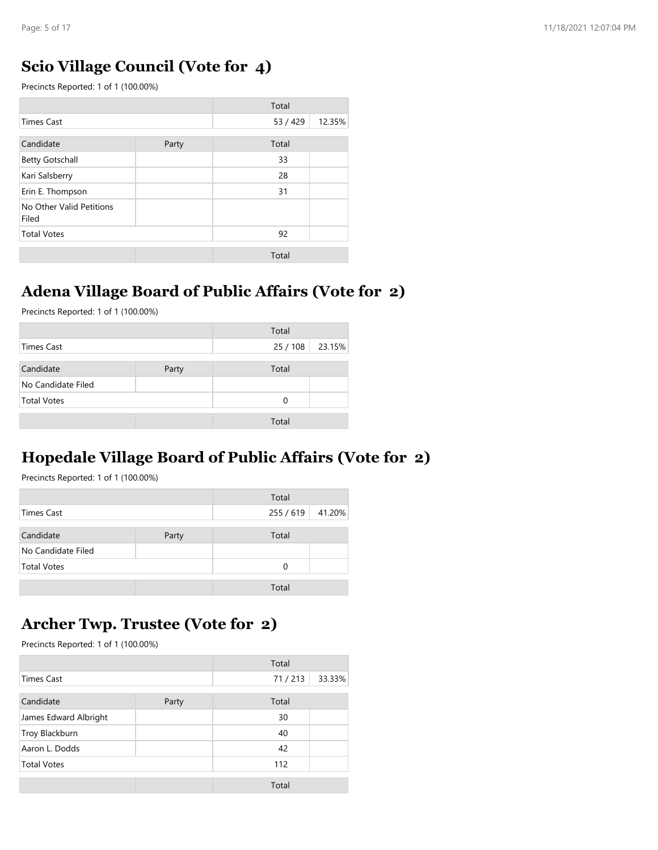### **Scio Village Council (Vote for 4)**

Precincts Reported: 1 of 1 (100.00%)

|                                   |       | Total    |        |
|-----------------------------------|-------|----------|--------|
| <b>Times Cast</b>                 |       | 53 / 429 | 12.35% |
| Candidate                         | Party | Total    |        |
| <b>Betty Gotschall</b>            |       | 33       |        |
| Kari Salsberry                    |       | 28       |        |
| Erin E. Thompson                  |       | 31       |        |
| No Other Valid Petitions<br>Filed |       |          |        |
| <b>Total Votes</b>                |       | 92       |        |
|                                   |       | Total    |        |

### **Adena Village Board of Public Affairs (Vote for 2)**

Precincts Reported: 1 of 1 (100.00%)

|                    |       | Total    |        |
|--------------------|-------|----------|--------|
| Times Cast         |       | 25 / 108 | 23.15% |
| Candidate          | Party | Total    |        |
| No Candidate Filed |       |          |        |
| <b>Total Votes</b> |       | $\Omega$ |        |
|                    |       | Total    |        |

## **Hopedale Village Board of Public Affairs (Vote for 2)**

Precincts Reported: 1 of 1 (100.00%)

|                    |       | Total     |        |
|--------------------|-------|-----------|--------|
| Times Cast         |       | 255 / 619 | 41.20% |
| Candidate          | Party | Total     |        |
| No Candidate Filed |       |           |        |
| <b>Total Votes</b> |       | 0         |        |
|                    |       | Total     |        |

### **Archer Twp. Trustee (Vote for 2)**

|                       |       | Total  |        |
|-----------------------|-------|--------|--------|
| <b>Times Cast</b>     |       | 71/213 | 33.33% |
| Candidate             | Party | Total  |        |
| James Edward Albright |       | 30     |        |
| Troy Blackburn        |       | 40     |        |
| Aaron L. Dodds        |       | 42     |        |
| <b>Total Votes</b>    |       | 112    |        |
|                       |       | Total  |        |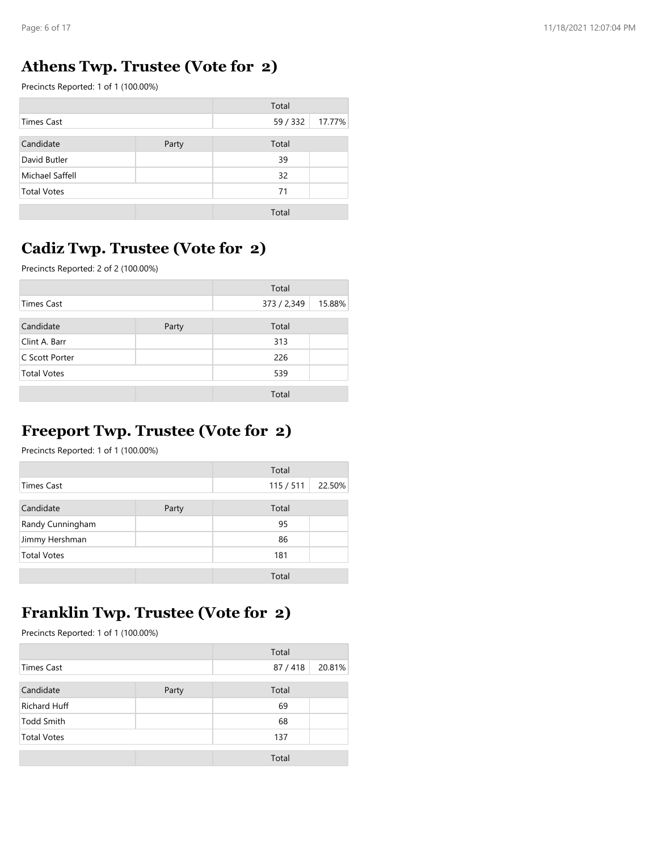### **Athens Twp. Trustee (Vote for 2)**

Precincts Reported: 1 of 1 (100.00%)

|                    |       | Total    |        |
|--------------------|-------|----------|--------|
| <b>Times Cast</b>  |       | 59 / 332 | 17.77% |
| Candidate          | Party | Total    |        |
| David Butler       |       | 39       |        |
| Michael Saffell    |       | 32       |        |
| <b>Total Votes</b> |       | 71       |        |
|                    |       | Total    |        |

### **Cadiz Twp. Trustee (Vote for 2)**

Precincts Reported: 2 of 2 (100.00%)

|                    |       | Total       |        |
|--------------------|-------|-------------|--------|
| Times Cast         |       | 373 / 2,349 | 15.88% |
| Candidate          | Party | Total       |        |
| Clint A. Barr      |       | 313         |        |
| C Scott Porter     |       | 226         |        |
| <b>Total Votes</b> |       | 539         |        |
|                    |       | Total       |        |

# **Freeport Twp. Trustee (Vote for 2)**

Precincts Reported: 1 of 1 (100.00%)

|                    |       | Total   |        |
|--------------------|-------|---------|--------|
| Times Cast         |       | 115/511 | 22.50% |
| Candidate          | Party | Total   |        |
| Randy Cunningham   |       | 95      |        |
| Jimmy Hershman     |       | 86      |        |
| <b>Total Votes</b> |       | 181     |        |
|                    |       | Total   |        |

### **Franklin Twp. Trustee (Vote for 2)**

|                     |       | Total  |        |
|---------------------|-------|--------|--------|
| <b>Times Cast</b>   |       | 87/418 | 20.81% |
| Candidate           | Party | Total  |        |
| <b>Richard Huff</b> |       | 69     |        |
| <b>Todd Smith</b>   |       | 68     |        |
| <b>Total Votes</b>  |       | 137    |        |
|                     |       | Total  |        |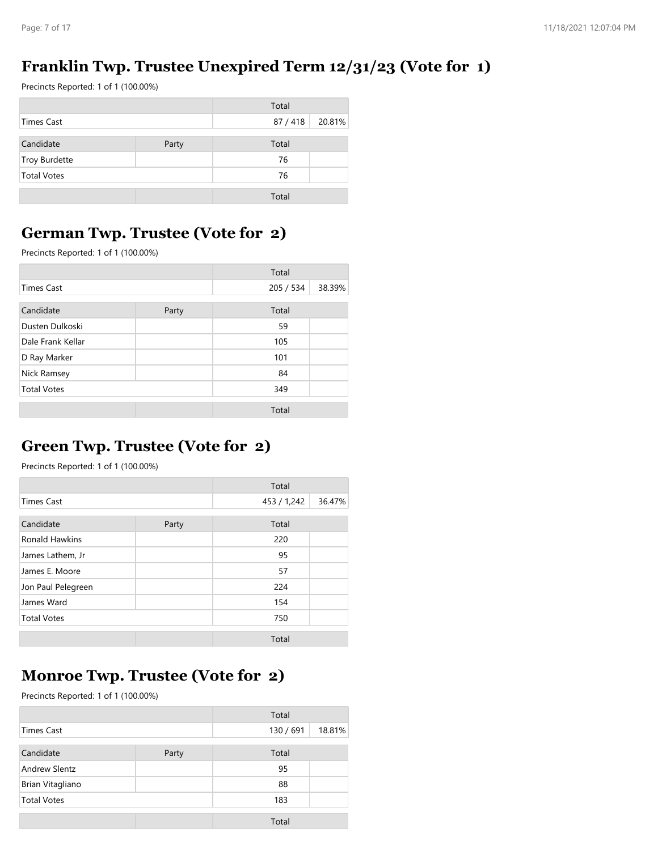### **Franklin Twp. Trustee Unexpired Term 12/31/23 (Vote for 1)**

Precincts Reported: 1 of 1 (100.00%)

|                    |       | Total  |        |
|--------------------|-------|--------|--------|
| Times Cast         |       | 87/418 | 20.81% |
| Candidate          | Party | Total  |        |
| Troy Burdette      |       | 76     |        |
| <b>Total Votes</b> |       | 76     |        |
|                    |       | Total  |        |

### **German Twp. Trustee (Vote for 2)**

Precincts Reported: 1 of 1 (100.00%)

|                    |       | Total     |        |
|--------------------|-------|-----------|--------|
| <b>Times Cast</b>  |       | 205 / 534 | 38.39% |
| Candidate          | Party | Total     |        |
| Dusten Dulkoski    |       | 59        |        |
| Dale Frank Kellar  |       | 105       |        |
| D Ray Marker       |       | 101       |        |
| Nick Ramsey        |       | 84        |        |
| <b>Total Votes</b> |       | 349       |        |
|                    |       | Total     |        |

### **Green Twp. Trustee (Vote for 2)**

Precincts Reported: 1 of 1 (100.00%)

|                       |       | Total       |        |
|-----------------------|-------|-------------|--------|
| <b>Times Cast</b>     |       | 453 / 1,242 | 36.47% |
| Candidate             | Party | Total       |        |
| <b>Ronald Hawkins</b> |       | 220         |        |
| James Lathem, Jr      |       | 95          |        |
| James E. Moore        |       | 57          |        |
| Jon Paul Pelegreen    |       | 224         |        |
| James Ward            |       | 154         |        |
| <b>Total Votes</b>    |       | 750         |        |
|                       |       | Total       |        |

### **Monroe Twp. Trustee (Vote for 2)**

|                      |       | Total     |        |
|----------------------|-------|-----------|--------|
| Times Cast           |       | 130 / 691 | 18.81% |
| Candidate            | Party | Total     |        |
| <b>Andrew Slentz</b> |       | 95        |        |
| Brian Vitagliano     |       | 88        |        |
| <b>Total Votes</b>   |       | 183       |        |
|                      |       | Total     |        |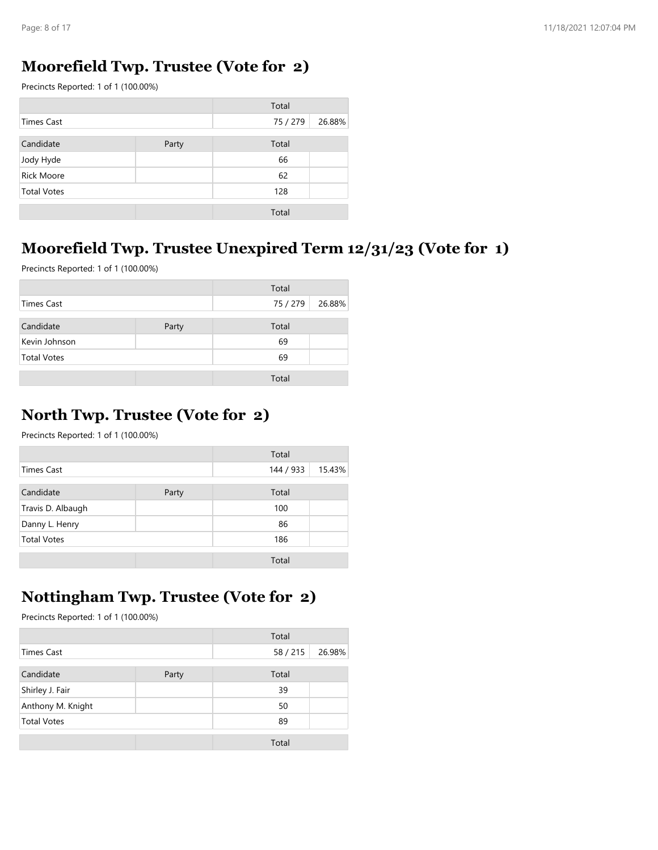### **Moorefield Twp. Trustee (Vote for 2)**

Precincts Reported: 1 of 1 (100.00%)

|                    |       | Total    |        |
|--------------------|-------|----------|--------|
| Times Cast         |       | 75 / 279 | 26.88% |
| Candidate          | Party | Total    |        |
| Jody Hyde          |       | 66       |        |
| <b>Rick Moore</b>  |       | 62       |        |
| <b>Total Votes</b> |       | 128      |        |
|                    |       | Total    |        |

#### **Moorefield Twp. Trustee Unexpired Term 12/31/23 (Vote for 1)**

Precincts Reported: 1 of 1 (100.00%)

|                    |       | Total    |        |
|--------------------|-------|----------|--------|
| Times Cast         |       | 75 / 279 | 26.88% |
| Candidate          | Party | Total    |        |
| Kevin Johnson      |       | 69       |        |
| <b>Total Votes</b> |       | 69       |        |
|                    |       | Total    |        |

### **North Twp. Trustee (Vote for 2)**

Precincts Reported: 1 of 1 (100.00%)

|                    |       | Total     |        |
|--------------------|-------|-----------|--------|
| Times Cast         |       | 144 / 933 | 15.43% |
| Candidate          | Party | Total     |        |
| Travis D. Albaugh  |       | 100       |        |
| Danny L. Henry     |       | 86        |        |
| <b>Total Votes</b> |       | 186       |        |
|                    |       | Total     |        |

### **Nottingham Twp. Trustee (Vote for 2)**

|                    |       | Total  |        |
|--------------------|-------|--------|--------|
| Times Cast         |       | 58/215 | 26.98% |
| Candidate          | Party | Total  |        |
| Shirley J. Fair    |       | 39     |        |
| Anthony M. Knight  |       | 50     |        |
| <b>Total Votes</b> |       | 89     |        |
|                    |       | Total  |        |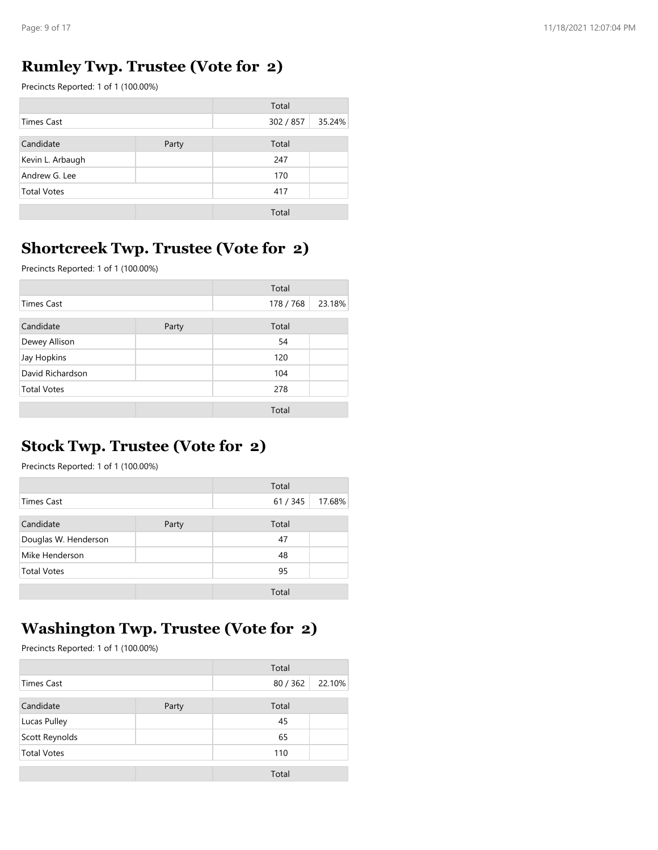### **Rumley Twp. Trustee (Vote for 2)**

Precincts Reported: 1 of 1 (100.00%)

|                    |       | Total     |        |
|--------------------|-------|-----------|--------|
| Times Cast         |       | 302 / 857 | 35.24% |
| Candidate          | Party | Total     |        |
| Kevin L. Arbaugh   |       | 247       |        |
| Andrew G. Lee      |       | 170       |        |
| <b>Total Votes</b> |       | 417       |        |
|                    |       | Total     |        |

### **Shortcreek Twp. Trustee (Vote for 2)**

Precincts Reported: 1 of 1 (100.00%)

|                    |       | Total     |        |
|--------------------|-------|-----------|--------|
| <b>Times Cast</b>  |       | 178 / 768 | 23.18% |
| Candidate          | Party | Total     |        |
| Dewey Allison      |       | 54        |        |
| Jay Hopkins        |       | 120       |        |
| David Richardson   |       | 104       |        |
| <b>Total Votes</b> |       | 278       |        |
|                    |       | Total     |        |

### **Stock Twp. Trustee (Vote for 2)**

Precincts Reported: 1 of 1 (100.00%)

|                      |       | Total  |        |
|----------------------|-------|--------|--------|
| Times Cast           |       | 61/345 | 17.68% |
| Candidate            | Party | Total  |        |
| Douglas W. Henderson |       | 47     |        |
| Mike Henderson       |       | 48     |        |
| <b>Total Votes</b>   |       | 95     |        |
|                      |       | Total  |        |

## **Washington Twp. Trustee (Vote for 2)**

|                    |       | Total  |        |
|--------------------|-------|--------|--------|
| <b>Times Cast</b>  |       | 80/362 | 22.10% |
| Candidate          | Party | Total  |        |
| Lucas Pulley       |       | 45     |        |
| Scott Reynolds     |       | 65     |        |
| <b>Total Votes</b> |       | 110    |        |
|                    |       | Total  |        |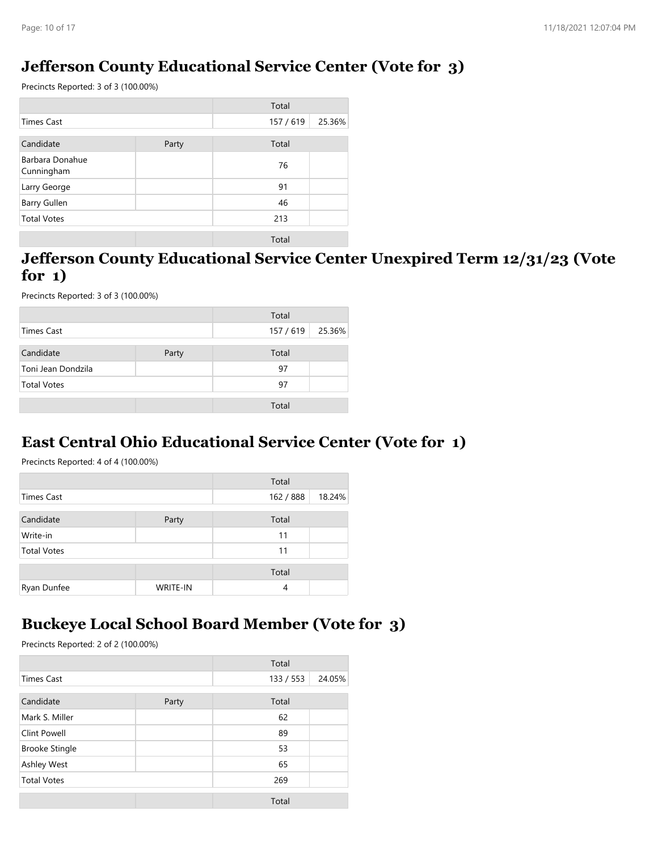### **Jefferson County Educational Service Center (Vote for 3)**

Precincts Reported: 3 of 3 (100.00%)

|                               |       | Total     |        |
|-------------------------------|-------|-----------|--------|
| <b>Times Cast</b>             |       | 157 / 619 | 25.36% |
| Candidate                     | Party | Total     |        |
| Barbara Donahue<br>Cunningham |       | 76        |        |
| Larry George                  |       | 91        |        |
| Barry Gullen                  |       | 46        |        |
| <b>Total Votes</b>            |       | 213       |        |
|                               |       | Total     |        |

#### **Jefferson County Educational Service Center Unexpired Term 12/31/23 (Vote for 1)**

Precincts Reported: 3 of 3 (100.00%)

|                    |       | Total            |  |
|--------------------|-------|------------------|--|
| Times Cast         |       | 157 / 619 25.36% |  |
| Candidate          | Party | Total            |  |
| Toni Jean Dondzila |       | 97               |  |
| <b>Total Votes</b> |       | 97               |  |
|                    |       | Total            |  |

### **East Central Ohio Educational Service Center (Vote for 1)**

Precincts Reported: 4 of 4 (100.00%)

|                    |                 | Total     |        |
|--------------------|-----------------|-----------|--------|
| Times Cast         |                 | 162 / 888 | 18.24% |
| Candidate          | Party           | Total     |        |
| Write-in           |                 | 11        |        |
| <b>Total Votes</b> |                 | 11        |        |
|                    |                 | Total     |        |
| Ryan Dunfee        | <b>WRITE-IN</b> | 4         |        |

### **Buckeye Local School Board Member (Vote for 3)**

|                       |       | Total     |        |
|-----------------------|-------|-----------|--------|
| <b>Times Cast</b>     |       | 133 / 553 | 24.05% |
| Candidate             | Party | Total     |        |
| Mark S. Miller        |       | 62        |        |
| <b>Clint Powell</b>   |       | 89        |        |
| <b>Brooke Stingle</b> |       | 53        |        |
| Ashley West           |       | 65        |        |
| <b>Total Votes</b>    |       | 269       |        |
|                       |       | Total     |        |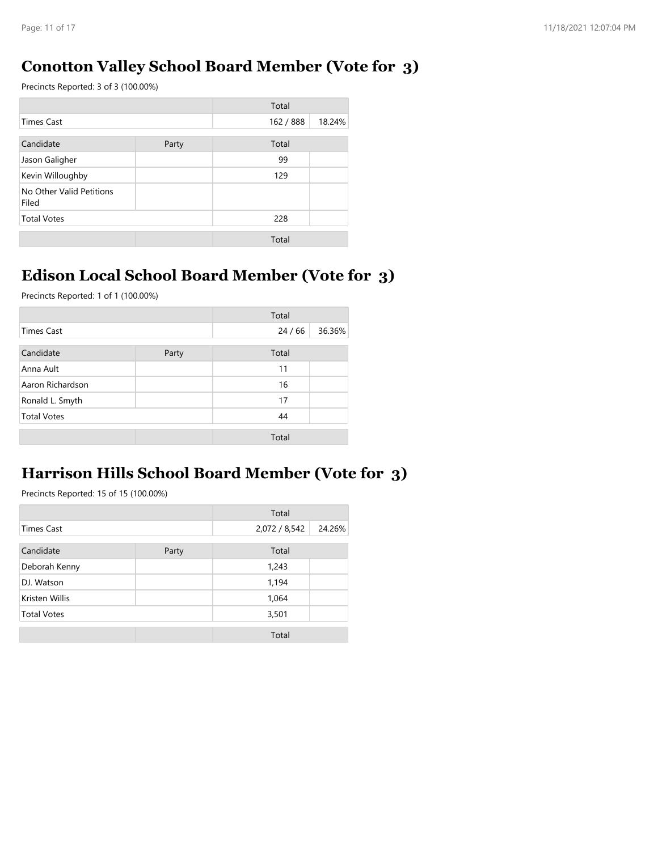#### **Conotton Valley School Board Member (Vote for 3)**

Precincts Reported: 3 of 3 (100.00%)

|                                   |       | Total     |        |
|-----------------------------------|-------|-----------|--------|
| <b>Times Cast</b>                 |       | 162 / 888 | 18.24% |
| Candidate                         | Party | Total     |        |
| Jason Galigher                    |       | 99        |        |
| Kevin Willoughby                  |       | 129       |        |
| No Other Valid Petitions<br>Filed |       |           |        |
| <b>Total Votes</b>                |       | 228       |        |
|                                   |       | Total     |        |

#### **Edison Local School Board Member (Vote for 3)**

Precincts Reported: 1 of 1 (100.00%)

|                    |       | Total |        |
|--------------------|-------|-------|--------|
| <b>Times Cast</b>  |       | 24/66 | 36.36% |
| Candidate          | Party | Total |        |
| Anna Ault          |       | 11    |        |
| Aaron Richardson   |       | 16    |        |
| Ronald L. Smyth    |       | 17    |        |
| <b>Total Votes</b> |       | 44    |        |
|                    |       | Total |        |

### **Harrison Hills School Board Member (Vote for 3)**

|                    |       | Total         |        |
|--------------------|-------|---------------|--------|
| <b>Times Cast</b>  |       | 2,072 / 8,542 | 24.26% |
| Candidate          | Party | Total         |        |
| Deborah Kenny      |       | 1,243         |        |
| DJ. Watson         |       | 1,194         |        |
| Kristen Willis     |       | 1,064         |        |
| <b>Total Votes</b> |       | 3,501         |        |
|                    |       | Total         |        |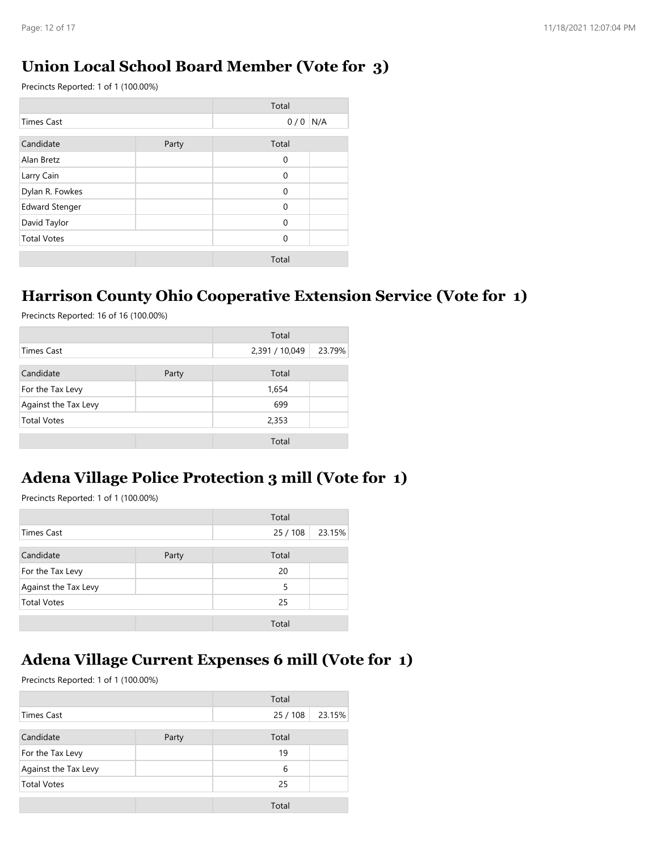#### **Union Local School Board Member (Vote for 3)**

Precincts Reported: 1 of 1 (100.00%)

|                       |       | Total       |     |
|-----------------------|-------|-------------|-----|
| <b>Times Cast</b>     |       | 0/0         | N/A |
| Candidate             | Party | Total       |     |
| Alan Bretz            |       | $\mathbf 0$ |     |
| Larry Cain            |       | 0           |     |
| Dylan R. Fowkes       |       | $\Omega$    |     |
| <b>Edward Stenger</b> |       | $\Omega$    |     |
| David Taylor          |       | $\Omega$    |     |
| <b>Total Votes</b>    |       | $\Omega$    |     |
|                       |       | Total       |     |

#### **Harrison County Ohio Cooperative Extension Service (Vote for 1)**

Precincts Reported: 16 of 16 (100.00%)

|                      |       | Total          |        |
|----------------------|-------|----------------|--------|
| Times Cast           |       | 2,391 / 10,049 | 23.79% |
| Candidate            | Party | Total          |        |
| For the Tax Levy     |       | 1,654          |        |
| Against the Tax Levy |       | 699            |        |
| <b>Total Votes</b>   |       | 2,353          |        |
|                      |       | Total          |        |

### **Adena Village Police Protection 3 mill (Vote for 1)**

Precincts Reported: 1 of 1 (100.00%)

|                      |       | Total  |        |
|----------------------|-------|--------|--------|
| <b>Times Cast</b>    |       | 25/108 | 23.15% |
| Candidate            | Party | Total  |        |
| For the Tax Levy     |       | 20     |        |
| Against the Tax Levy |       | 5      |        |
| <b>Total Votes</b>   |       | 25     |        |
|                      |       | Total  |        |

### **Adena Village Current Expenses 6 mill (Vote for 1)**

|                      |       | Total  |        |
|----------------------|-------|--------|--------|
| <b>Times Cast</b>    |       | 25/108 | 23.15% |
| Candidate            | Party | Total  |        |
| For the Tax Levy     |       | 19     |        |
| Against the Tax Levy |       | 6      |        |
| <b>Total Votes</b>   |       | 25     |        |
|                      |       | Total  |        |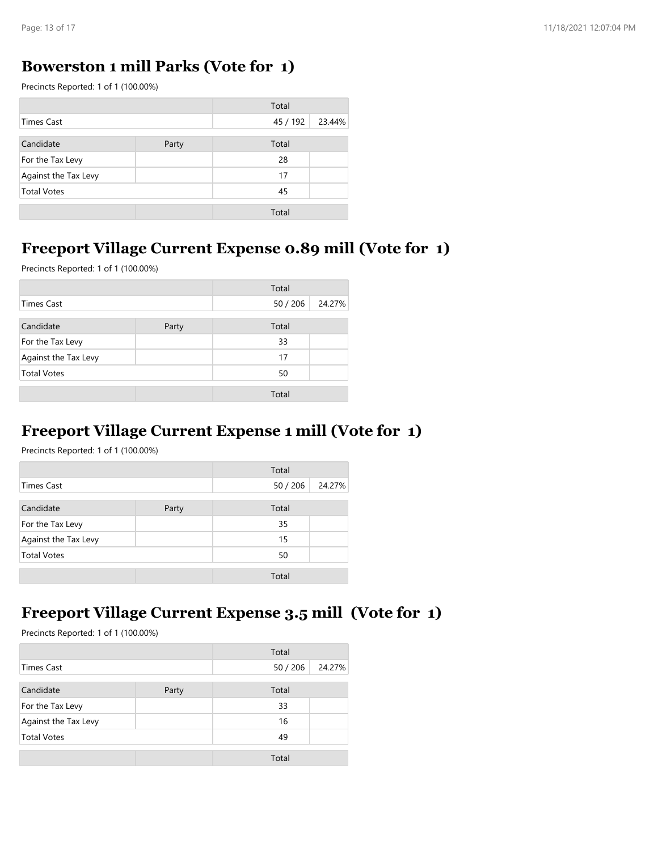#### **Bowerston 1 mill Parks (Vote for 1)**

Precincts Reported: 1 of 1 (100.00%)

|                      |       | Total    |        |
|----------------------|-------|----------|--------|
| <b>Times Cast</b>    |       | 45 / 192 | 23.44% |
| Candidate            | Party | Total    |        |
| For the Tax Levy     |       | 28       |        |
| Against the Tax Levy |       | 17       |        |
| <b>Total Votes</b>   |       | 45       |        |
|                      |       | Total    |        |

#### **Freeport Village Current Expense 0.89 mill (Vote for 1)**

Precincts Reported: 1 of 1 (100.00%)

|                      |       | Total  |        |
|----------------------|-------|--------|--------|
| <b>Times Cast</b>    |       | 50/206 | 24.27% |
| Candidate            | Party | Total  |        |
| For the Tax Levy     |       | 33     |        |
| Against the Tax Levy |       | 17     |        |
| <b>Total Votes</b>   |       | 50     |        |
|                      |       | Total  |        |

#### **Freeport Village Current Expense 1 mill (Vote for 1)**

Precincts Reported: 1 of 1 (100.00%)

|                      |       | Total  |        |
|----------------------|-------|--------|--------|
| Times Cast           |       | 50/206 | 24.27% |
| Candidate            | Party | Total  |        |
| For the Tax Levy     |       | 35     |        |
| Against the Tax Levy |       | 15     |        |
| <b>Total Votes</b>   |       | 50     |        |
|                      |       | Total  |        |

#### **Freeport Village Current Expense 3.5 mill (Vote for 1)**

|                      |       | Total  |        |
|----------------------|-------|--------|--------|
| Times Cast           |       | 50/206 | 24.27% |
| Candidate            | Party | Total  |        |
| For the Tax Levy     |       | 33     |        |
| Against the Tax Levy |       | 16     |        |
| <b>Total Votes</b>   |       | 49     |        |
|                      |       | Total  |        |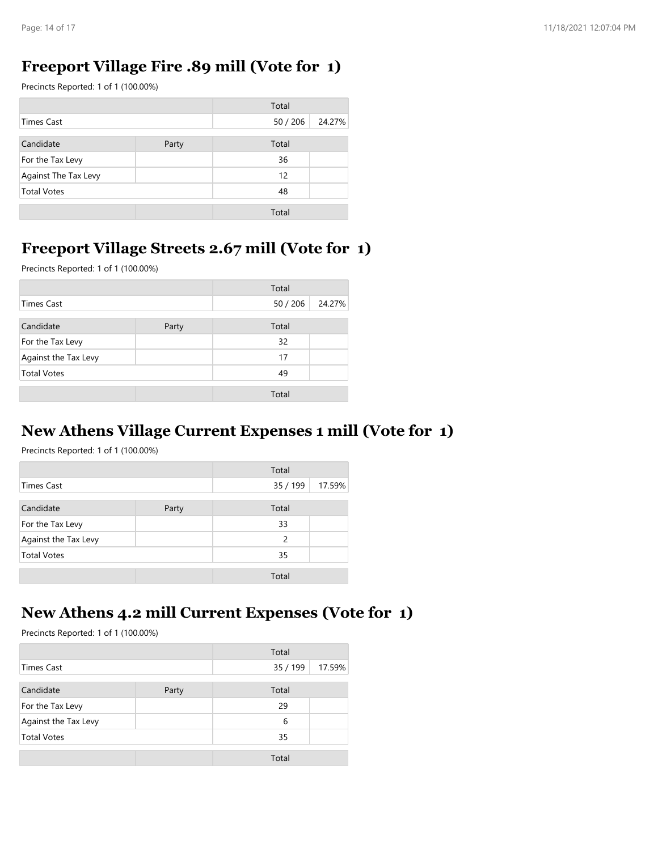#### **Freeport Village Fire .89 mill (Vote for 1)**

Precincts Reported: 1 of 1 (100.00%)

|                      |       | Total  |        |
|----------------------|-------|--------|--------|
| <b>Times Cast</b>    |       | 50/206 | 24.27% |
| Candidate            | Party | Total  |        |
| For the Tax Levy     |       | 36     |        |
| Against The Tax Levy |       | 12     |        |
| <b>Total Votes</b>   |       | 48     |        |
|                      |       | Total  |        |

#### **Freeport Village Streets 2.67 mill (Vote for 1)**

Precincts Reported: 1 of 1 (100.00%)

|                      |       | Total  |        |
|----------------------|-------|--------|--------|
| <b>Times Cast</b>    |       | 50/206 | 24.27% |
| Candidate            | Party | Total  |        |
| For the Tax Levy     |       | 32     |        |
| Against the Tax Levy |       | 17     |        |
| <b>Total Votes</b>   |       | 49     |        |
|                      |       | Total  |        |

#### **New Athens Village Current Expenses 1 mill (Vote for 1)**

Precincts Reported: 1 of 1 (100.00%)

|                      |       | Total    |        |
|----------------------|-------|----------|--------|
| Times Cast           |       | 35 / 199 | 17.59% |
| Candidate            | Party | Total    |        |
| For the Tax Levy     |       | 33       |        |
| Against the Tax Levy |       | 2        |        |
| <b>Total Votes</b>   |       | 35       |        |
|                      |       | Total    |        |

#### **New Athens 4.2 mill Current Expenses (Vote for 1)**

|                      |       | Total    |        |
|----------------------|-------|----------|--------|
| Times Cast           |       | 35 / 199 | 17.59% |
| Candidate            | Party | Total    |        |
| For the Tax Levy     |       | 29       |        |
| Against the Tax Levy |       | 6        |        |
| <b>Total Votes</b>   |       | 35       |        |
|                      |       | Total    |        |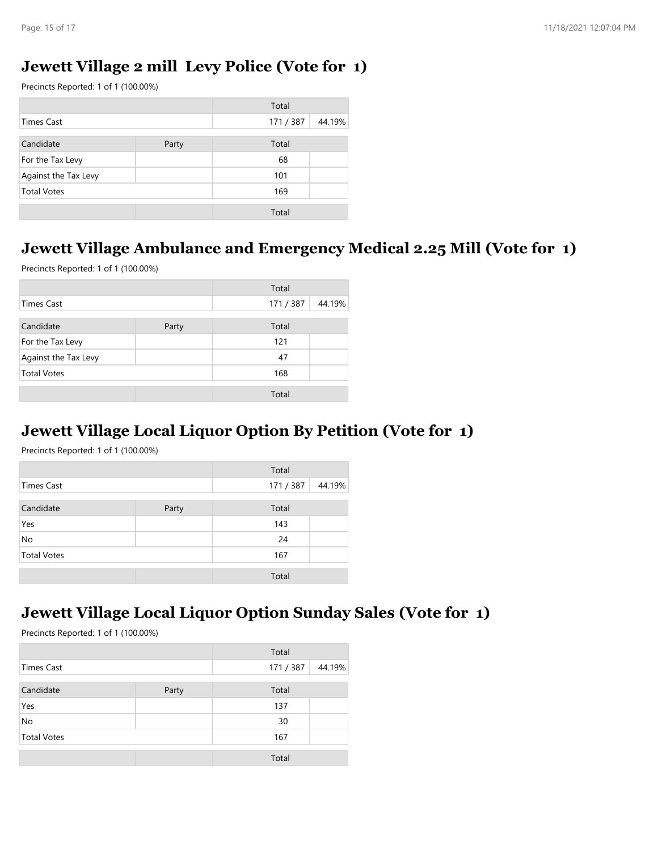#### **Jewett Village 2 mill Levy Police (Vote for 1)**

Precincts Reported: 1 of 1 (100.00%)

|                      |       | Total   |        |
|----------------------|-------|---------|--------|
| <b>Times Cast</b>    |       | 171/387 | 44.19% |
| Candidate            | Party | Total   |        |
| For the Tax Levy     |       | 68      |        |
| Against the Tax Levy |       | 101     |        |
| <b>Total Votes</b>   |       | 169     |        |
|                      |       | Total   |        |

#### **Jewett Village Ambulance and Emergency Medical 2.25 Mill (Vote for 1)**

Precincts Reported: 1 of 1 (100.00%)

|                      |       | Total   |        |
|----------------------|-------|---------|--------|
| <b>Times Cast</b>    |       | 171/387 | 44.19% |
| Candidate            | Party | Total   |        |
| For the Tax Levy     |       | 121     |        |
| Against the Tax Levy |       | 47      |        |
| <b>Total Votes</b>   |       | 168     |        |
|                      |       | Total   |        |

#### **Jewett Village Local Liquor Option By Petition (Vote for 1)**

Precincts Reported: 1 of 1 (100.00%)

|                    |       | Total   |        |
|--------------------|-------|---------|--------|
| Times Cast         |       | 171/387 | 44.19% |
| Candidate          | Party | Total   |        |
| Yes                |       | 143     |        |
| No                 |       | 24      |        |
| <b>Total Votes</b> |       | 167     |        |
|                    |       | Total   |        |

#### **Jewett Village Local Liquor Option Sunday Sales (Vote for 1)**

|                    |       | Total     |        |
|--------------------|-------|-----------|--------|
| <b>Times Cast</b>  |       | 171 / 387 | 44.19% |
| Candidate          | Party | Total     |        |
| Yes                |       | 137       |        |
| No                 |       | 30        |        |
| <b>Total Votes</b> |       | 167       |        |
|                    |       | Total     |        |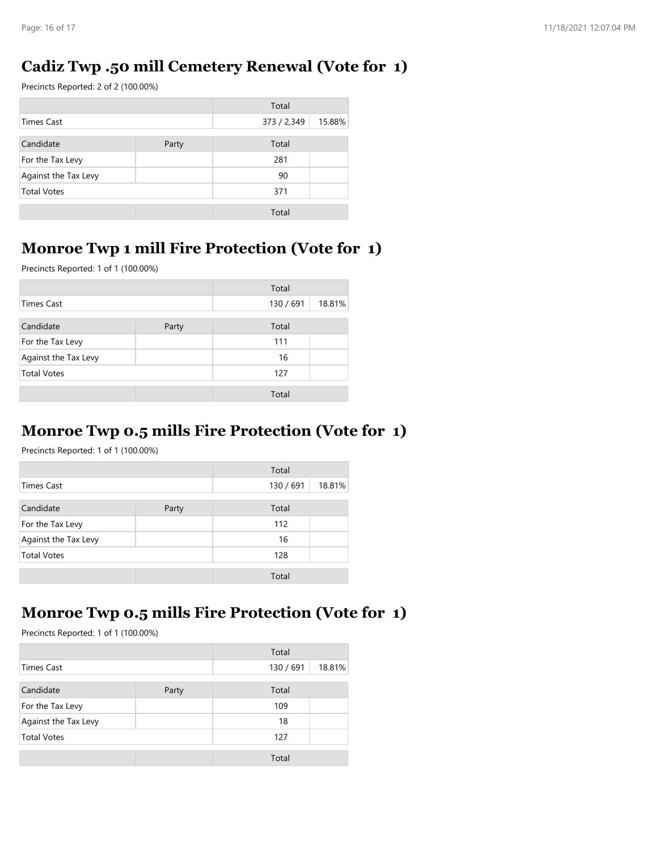### **Cadiz Twp .50 mill Cemetery Renewal (Vote for 1)**

Precincts Reported: 2 of 2 (100.00%)

|                      |       | Total       |        |
|----------------------|-------|-------------|--------|
| <b>Times Cast</b>    |       | 373 / 2,349 | 15.88% |
| Candidate            | Party | Total       |        |
| For the Tax Levy     |       | 281         |        |
| Against the Tax Levy |       | 90          |        |
| <b>Total Votes</b>   |       | 371         |        |
|                      |       | Total       |        |

### **Monroe Twp 1 mill Fire Protection (Vote for 1)**

Precincts Reported: 1 of 1 (100.00%)

|                      |       | Total     |        |
|----------------------|-------|-----------|--------|
| Times Cast           |       | 130 / 691 | 18.81% |
| Candidate            | Party | Total     |        |
| For the Tax Levy     |       | 111       |        |
| Against the Tax Levy |       | 16        |        |
| <b>Total Votes</b>   |       | 127       |        |
|                      |       | Total     |        |

### **Monroe Twp 0.5 mills Fire Protection (Vote for 1)**

Precincts Reported: 1 of 1 (100.00%)

|                      |       | Total     |        |
|----------------------|-------|-----------|--------|
| Times Cast           |       | 130 / 691 | 18.81% |
| Candidate            | Party | Total     |        |
| For the Tax Levy     |       | 112       |        |
| Against the Tax Levy |       | 16        |        |
| <b>Total Votes</b>   |       | 128       |        |
|                      |       | Total     |        |

### **Monroe Twp 0.5 mills Fire Protection (Vote for 1)**

|                      |       | Total     |        |
|----------------------|-------|-----------|--------|
| Times Cast           |       | 130 / 691 | 18.81% |
| Candidate            | Party | Total     |        |
| For the Tax Levy     |       | 109       |        |
| Against the Tax Levy |       | 18        |        |
| <b>Total Votes</b>   |       | 127       |        |
|                      |       | Total     |        |